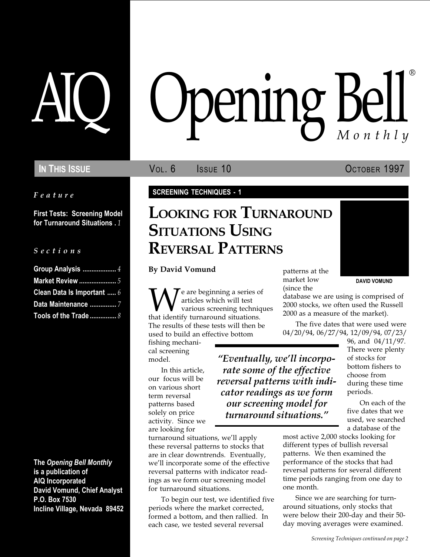Feature

First Tests: Screening Model for Turnaround Situations . 1

#### S e c t i o n s

| Group Analysis  4          |
|----------------------------|
| <b>Market Review </b> 5    |
| Clean Data Is Important  6 |
|                            |
| Tools of the Trade  8      |

The Opening Bell Monthly is a publication of AIQ Incorporated David Vomund, Chief Analyst P.O. Box 7530 Incline Village, Nevada 89452

# pening Bell ®

IN THIS ISSUE **VOL. 6** ISSUE 10 OCTOBER 1997

#### SCREENING TECHNIQUES - 1

## LOOKING FOR TURNAROUND SITUATIONS USING REVERSAL PATTERNS

By David Vomund

**W** articles which will test<br>various screening technique that identify turnaround situations. articles which will test various screening techniques The results of these tests will then be used to build an effective bottom

fishing mechanical screening model.

In this article, our focus will be on various short term reversal patterns based solely on price activity. Since we are looking for

turnaround situations, we'll apply these reversal patterns to stocks that are in clear downtrends. Eventually, we'll incorporate some of the effective reversal patterns with indicator readings as we form our screening model for turnaround situations.

To begin our test, we identified five periods where the market corrected, formed a bottom, and then rallied. In each case, we tested several reversal

patterns at the market low (since the

"Eventually, we'll incorporate some of the effective reversal patterns with indicator readings as we form our screening model for turnaround situations.

DAVID VOMUND

database we are using is comprised of 2000 stocks, we often used the Russell 2000 as a measure of the market).

The five dates that were used were 04/20/94, 06/27/94, 12/09/94, 07/23/

96, and 04/11/97. There were plenty of stocks for bottom fishers to choose from during these time periods.

On each of the five dates that we used, we searched a database of the

most active 2,000 stocks looking for different types of bullish reversal patterns. We then examined the performance of the stocks that had reversal patterns for several different time periods ranging from one day to one month.

Since we are searching for turnaround situations, only stocks that were below their 200-day and their 50 day moving averages were examined.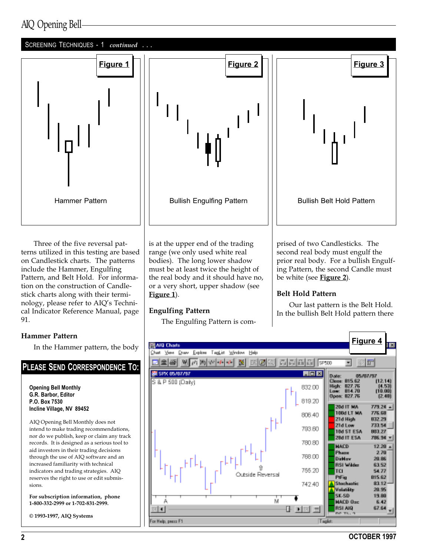## AIQ Opening Bell

#### SCREENING TECHNIQUES - 1 continued . . .



Three of the five reversal patterns utilized in this testing are based on Candlestick charts. The patterns include the Hammer, Engulfing Pattern, and Belt Hold. For information on the construction of Candlestick charts along with their terminology, please refer to AIQ's Technical Indicator Reference Manual, page 91.

#### Hammer Pattern

In the Hammer pattern, the body

## PLEASE SEND CORRESPONDENCE TO:

Opening Bell Monthly G.R. Barbor, Editor P.O. Box 7530 Incline Village, NV 89452

AIQ Opening Bell Monthly does not intend to make trading recommendations, nor do we publish, keep or claim any track records. It is designed as a serious tool to aid investors in their trading decisions through the use of AIQ software and an increased familiarity with technical indicators and trading strategies. AIQ reserves the right to use or edit submissions.

For subscription information, phone 1-800-332-2999 or 1-702-831-2999.

© 1993-1997, AIQ Systems

is at the upper end of the trading range (we only used white real bodies). The long lower shadow must be at least twice the height of the real body and it should have no, or a very short, upper shadow (see Figure 1).

#### Engulfing Pattern

The Engulfing Pattern is com-

prised of two Candlesticks. The second real body must engulf the prior real body. For a bullish Engulfing Pattern, the second Candle must be white (see **Figure 2**).

#### Belt Hold Pattern

Our last pattern is the Belt Hold. In the bullish Belt Hold pattern there

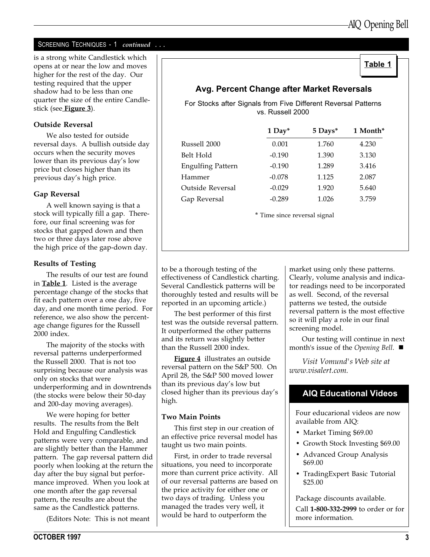Table 1

#### SCREENING TECHNIQUES - 1 continued . . .

is a strong white Candlestick which opens at or near the low and moves higher for the rest of the day. Our testing required that the upper shadow had to be less than one quarter the size of the entire Candlestick (see **Figure 3**).

#### Outside Reversal

We also tested for outside reversal days. A bullish outside day occurs when the security moves lower than its previous day's low price but closes higher than its previous day's high price.

#### Gap Reversal

A well known saying is that a stock will typically fill a gap. Therefore, our final screening was for stocks that gapped down and then two or three days later rose above the high price of the gap-down day.

#### Results of Testing

The results of our test are found in **Table 1**. Listed is the average percentage change of the stocks that fit each pattern over a one day, five day, and one month time period. For reference, we also show the percentage change figures for the Russell 2000 index.

The majority of the stocks with reversal patterns underperformed the Russell 2000. That is not too surprising because our analysis was only on stocks that were underperforming and in downtrends (the stocks were below their 50-day and 200-day moving averages).

We were hoping for better results. The results from the Belt Hold and Engulfing Candlestick patterns were very comparable, and are slightly better than the Hammer pattern. The gap reversal pattern did poorly when looking at the return the day after the buy signal but performance improved. When you look at one month after the gap reversal pattern, the results are about the same as the Candlestick patterns.

(Editors Note: This is not meant

## Avg. Percent Change after Market Reversals

For Stocks after Signals from Five Different Reversal Patterns vs. Russell 2000

|                              | $1$ Day <sup>*</sup> | 5 Days* | 1 Month* |  |  |
|------------------------------|----------------------|---------|----------|--|--|
| Russell 2000                 | 0.001                | 1.760   | 4.230    |  |  |
| Belt Hold                    | $-0.190$             | 1.390   | 3.130    |  |  |
| <b>Engulfing Pattern</b>     | $-0.190$             | 1.289   | 3.416    |  |  |
| Hammer                       | $-0.078$             | 1.125   | 2.087    |  |  |
| Outside Reversal             | $-0.029$             | 1.920   | 5.640    |  |  |
| Gap Reversal                 | $-0.289$             | 1.026   | 3.759    |  |  |
| * Time since reversal signal |                      |         |          |  |  |

to be a thorough testing of the effectiveness of Candlestick charting. Several Candlestick patterns will be thoroughly tested and results will be reported in an upcoming article.)

The best performer of this first test was the outside reversal pattern. It outperformed the other patterns and its return was slightly better than the Russell 2000 index.

Figure 4 illustrates an outside reversal pattern on the S&P 500. On April 28, the S&P 500 moved lower than its previous day's low but closed higher than its previous day's high.

#### Two Main Points

This first step in our creation of an effective price reversal model has taught us two main points.

First, in order to trade reversal situations, you need to incorporate more than current price activity. All of our reversal patterns are based on the price activity for either one or two days of trading. Unless you managed the trades very well, it would be hard to outperform the

market using only these patterns. Clearly, volume analysis and indicator readings need to be incorporated as well. Second, of the reversal patterns we tested, the outside reversal pattern is the most effective so it will play a role in our final screening model.

Our testing will continue in next month's issue of the Opening Bell.  $\blacksquare$ 

Visit Vomund's Web site at www.visalert.com.

## AIQ Educational Videos

Four educarional videos are now available from AIQ:

- Market Timing \$69.00
- Growth Stock Investing \$69.00
- Advanced Group Analysis \$69.00
- TradingExpert Basic Tutorial \$25.00

Package discounts available.

Call 1-800-332-2999 to order or for more information.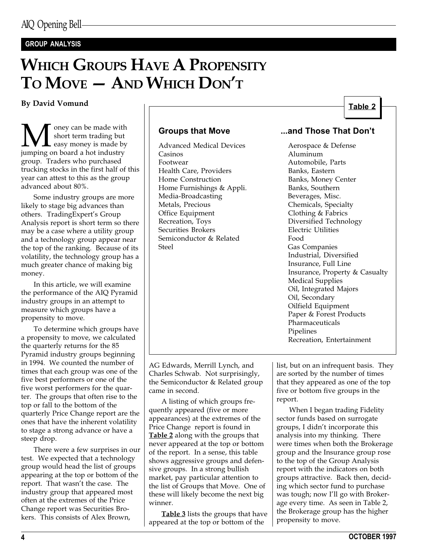#### GROUP ANALYSIS

## WHICH GROUPS HAVE A PROPENSITY  $TO$  MOVE  $-$  AND WHICH  $DON'T$

#### By David Vomund

**M** oney can be made with<br>short term trading but<br>jumping on board a hot industry short term trading but easy money is made by group. Traders who purchased trucking stocks in the first half of this year can attest to this as the group advanced about 80%.

Some industry groups are more likely to stage big advances than others. TradingExpert's Group Analysis report is short term so there may be a case where a utility group and a technology group appear near the top of the ranking. Because of its volatility, the technology group has a much greater chance of making big money.

In this article, we will examine the performance of the AIQ Pyramid industry groups in an attempt to measure which groups have a propensity to move.

To determine which groups have a propensity to move, we calculated the quarterly returns for the 85 Pyramid industry groups beginning in 1994. We counted the number of times that each group was one of the five best performers or one of the five worst performers for the quarter. The groups that often rise to the top or fall to the bottom of the quarterly Price Change report are the ones that have the inherent volatility to stage a strong advance or have a steep drop.

There were a few surprises in our test. We expected that a technology group would head the list of groups appearing at the top or bottom of the report. That wasn't the case. The industry group that appeared most often at the extremes of the Price Change report was Securities Brokers. This consists of Alex Brown,

Advanced Medical Devices Aerospace & Defense Casinos Aluminum Health Care, Providers<br>
Home Construction<br>
Home Construction<br>
Banks, Money Home Furnishings & Appli. Banks, Southern Media-Broadcasting Beverages, Misc.<br>
Metals, Precious Chemicals, Speci Metals, Precious Chemicals, Specialty<br>
Office Equipment Clothing & Fabrics Office Equipment Clothing & Fabrics<br>
Recreation, Toys Clothing Clouds Contract Clouds Securities Brokers Semiconductor & Related Food Steel Gas Companies

#### Table 2

#### Groups that Move **...and Those That Don't**

Automobile, Parts Banks, Money Center Diversified Technology<br>Electric Utilities Industrial, Diversified Insurance, Full Line Insurance, Property & Casualty Medical Supplies Oil, Integrated Majors Oil, Secondary Oilfield Equipment Paper & Forest Products Pharmaceuticals Pipelines Recreation, Entertainment

AG Edwards, Merrill Lynch, and Charles Schwab. Not surprisingly, the Semiconductor & Related group came in second.

A listing of which groups frequently appeared (five or more appearances) at the extremes of the Price Change report is found in **Table 2** along with the groups that never appeared at the top or bottom of the report. In a sense, this table shows aggressive groups and defensive groups. In a strong bullish market, pay particular attention to the list of Groups that Move. One of these will likely become the next big winner.

**Table 3** lists the groups that have appeared at the top or bottom of the

list, but on an infrequent basis. They are sorted by the number of times that they appeared as one of the top five or bottom five groups in the report.

When I began trading Fidelity sector funds based on surrogate groups, I didn't incorporate this analysis into my thinking. There were times when both the Brokerage group and the Insurance group rose to the top of the Group Analysis report with the indicators on both groups attractive. Back then, deciding which sector fund to purchase was tough; now I'll go with Brokerage every time. As seen in Table 2, the Brokerage group has the higher propensity to move.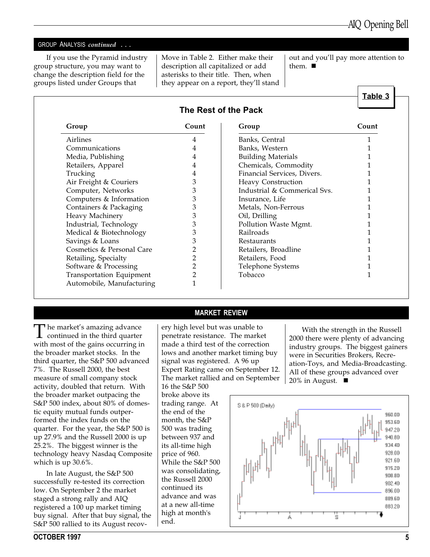Table 3

#### GROUP ANALYSIS continued ...

If you use the Pyramid industry group structure, you may want to change the description field for the groups listed under Groups that

Move in Table 2. Either make their description all capitalized or add asterisks to their title. Then, when they appear on a report, they'll stand

out and you'll pay more attention to them.  $\blacksquare$ 

| Group                     | Count          | Group                        | Count |
|---------------------------|----------------|------------------------------|-------|
| Airlines                  | 4              | Banks, Central               |       |
| Communications            | 4              | Banks, Western               |       |
| Media, Publishing         |                | <b>Building Materials</b>    |       |
| Retailers, Apparel        | 4              | Chemicals, Commodity         |       |
| Trucking                  | 4              | Financial Services, Divers.  |       |
| Air Freight & Couriers    | 3              | Heavy Construction           |       |
| Computer, Networks        | 3              | Industrial & Commerical Sys. |       |
| Computers & Information   | 3              | Insurance, Life              |       |
| Containers & Packaging    | 3              | Metals, Non-Ferrous          |       |
| Heavy Machinery           | 3              | Oil, Drilling                |       |
| Industrial, Technology    | 3              | Pollution Waste Mgmt.        |       |
| Medical & Biotechnology   | 3              | Railroads                    |       |
| Savings & Loans           | 3              | Restaurants                  |       |
| Cosmetics & Personal Care | 2              | Retailers, Broadline         |       |
| Retailing, Specialty      | $\overline{2}$ | Retailers, Food              |       |
| Software & Processing     | $\overline{2}$ | Telephone Systems            |       |
| Transportation Equipment  | $\overline{2}$ | Tobacco                      |       |
| Automobile, Manufacturing | $\mathbf{1}$   |                              |       |

 $\prod$  he market's amazing advance<br>continued in the third quarter with most of the gains occurring in the broader market stocks. In the third quarter, the S&P 500 advanced 7%. The Russell 2000, the best measure of small company stock activity, doubled that return. With the broader market outpacing the S&P 500 index, about 80% of domestic equity mutual funds outperformed the index funds on the quarter. For the year, the S&P 500 is up 27.9% and the Russell 2000 is up 25.2%. The biggest winner is the technology heavy Nasdaq Composite which is up 30.6%.

In late August, the S&P 500 successfully re-tested its correction low. On September 2 the market staged a strong rally and AIQ registered a 100 up market timing buy signal. After that buy signal, the S&P 500 rallied to its August recovMARKET REVIEW

ery high level but was unable to penetrate resistance. The market made a third test of the correction lows and another market timing buy signal was registered. A 96 up Expert Rating came on September 12. The market rallied and on September

16 the S&P 500 broke above its trading range. At the end of the month, the S&P 500 was trading between 937 and its all-time high price of 960. While the S&P 500 was consolidating, the Russell 2000 continued its advance and was at a new all-time high at month's end.

With the strength in the Russell 2000 there were plenty of advancing industry groups. The biggest gainers were in Securities Brokers, Recreation-Toys, and Media-Broadcasting. All of these groups advanced over 20% in August.  $\blacksquare$ 

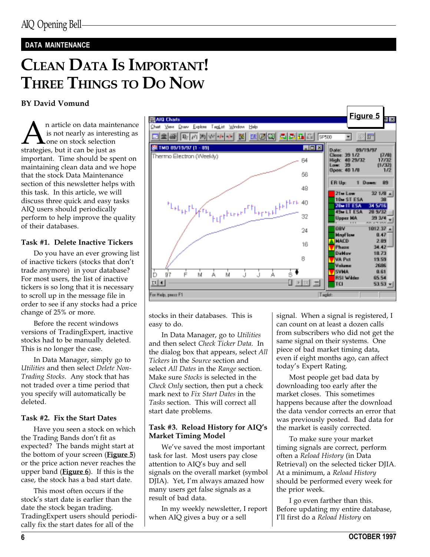#### DATA MAINTENANCE

# CLEAN DATA IS IMPORTANT! THREE THINGS TO DO NOW

#### BY David Vomund

An article on data maintenance<br>is not nearly as interesting as<br>strategies, but it can be just as is not nearly as interesting as one on stock selection important. Time should be spent on maintaining clean data and we hope that the stock Data Maintenance section of this newsletter helps with this task. In this article, we will discuss three quick and easy tasks AIQ users should periodically perform to help improve the quality of their databases.

#### Task #1. Delete Inactive Tickers

Do you have an ever growing list of inactive tickers (stocks that don't trade anymore) in your database? For most users, the list of inactive tickers is so long that it is necessary to scroll up in the message file in order to see if any stocks had a price change of 25% or more.

Before the recent windows versions of TradingExpert, inactive stocks had to be manually deleted. This is no longer the case.

In Data Manager, simply go to Utilities and then select Delete Non-Trading Stocks. Any stock that has not traded over a time period that you specify will automatically be deleted.

#### Task #2. Fix the Start Dates

Have you seen a stock on which the Trading Bands don't fit as expected? The bands might start at the bottom of your screen (Figure 5) or the price action never reaches the upper band (Figure  $6$ ). If this is the case, the stock has a bad start date.

This most often occurs if the stock's start date is earlier than the date the stock began trading. TradingExpert users should periodically fix the start dates for all of the



stocks in their databases. This is easy to do.

In Data Manager, go to Utilities and then select Check Ticker Data. In the dialog box that appears, select All Tickers in the Source section and select All Dates in the Range section. Make sure Stocks is selected in the Check Only section, then put a check mark next to Fix Start Dates in the Tasks section. This will correct all start date problems.

#### Task #3. Reload History for AIQ's Market Timing Model

We've saved the most important task for last. Most users pay close attention to AIQ's buy and sell signals on the overall market (symbol DIIA). Yet, I'm always amazed how many users get false signals as a result of bad data.

In my weekly newsletter, I report when AIQ gives a buy or a sell

signal. When a signal is registered, I can count on at least a dozen calls from subscribers who did not get the same signal on their systems. One piece of bad market timing data, even if eight months ago, can affect today's Expert Rating.

Most people get bad data by downloading too early after the market closes. This sometimes happens because after the download the data vendor corrects an error that was previously posted. Bad data for the market is easily corrected.

To make sure your market timing signals are correct, perform often a Reload History (in Data Retrieval) on the selected ticker DJIA. At a minimum, a Reload History should be performed every week for the prior week.

I go even farther than this. Before updating my entire database, I'll first do a Reload History on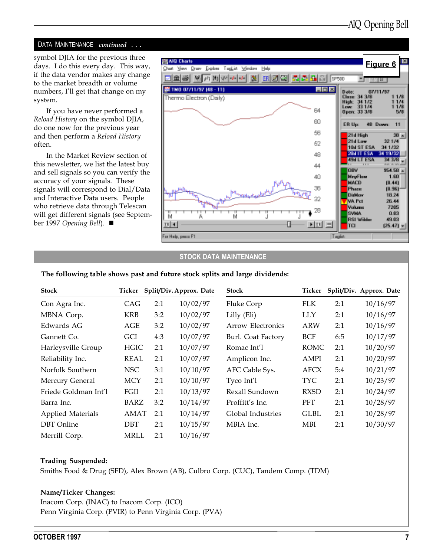#### DATA MAINTENANCE continued ...

symbol DJIA for the previous three days. I do this every day. This way, if the data vendor makes any change to the market breadth or volume numbers, I'll get that change on my system.

If you have never performed a Reload History on the symbol DJIA, do one now for the previous year and then perform a Reload History often.

In the Market Review section of this newsletter, we list the latest buy and sell signals so you can verify the accuracy of your signals. These signals will correspond to Dial/Data and Interactive Data users. People who retrieve data through Telescan will get different signals (see September 1997 Opening Bell).  $\blacksquare$ 



#### STOCK DATA MAINTENANCE

#### The following table shows past and future stock splits and large dividends:

| <b>Stock</b>             | Ticker      |     | Split/Div. Approx. Date | <b>Stock</b>       | Ticker      |     | Split/Div. Approx. Date |
|--------------------------|-------------|-----|-------------------------|--------------------|-------------|-----|-------------------------|
| Con Agra Inc.            | CAG         | 2:1 | 10/02/97                | Fluke Corp         | <b>FLK</b>  | 2:1 | 10/16/97                |
| MBNA Corp.               | <b>KRB</b>  | 3:2 | 10/02/97                | Lilly (Eli)        | <b>LLY</b>  | 2:1 | 10/16/97                |
| Edwards AG               | AGE         | 3:2 | 10/02/97                | Arrow Electronics  | <b>ARW</b>  | 2:1 | 10/16/97                |
| Gannett Co.              | <b>GCI</b>  | 4:3 | 10/07/97                | Burl. Coat Factory | <b>BCF</b>  | 6:5 | 10/17/97                |
| Harleysville Group       | <b>HGIC</b> | 2:1 | 10/07/97                | Romac Int'l        | <b>ROMC</b> | 2:1 | 10/20/97                |
| Reliability Inc.         | <b>REAL</b> | 2:1 | 10/07/97                | Amplicon Inc.      | AMPI        | 2:1 | 10/20/97                |
| Norfolk Southern         | NSC         | 3:1 | 10/10/97                | AFC Cable Sys.     | AFCX        | 5:4 | 10/21/97                |
| Mercury General          | <b>MCY</b>  | 2:1 | 10/10/97                | Tyco Int'l         | <b>TYC</b>  | 2:1 | 10/23/97                |
| Friede Goldman Int'l     | FGII        | 2:1 | 10/13/97                | Rexall Sundown     | <b>RXSD</b> | 2:1 | 10/24/97                |
| Barra Inc.               | BARZ        | 3:2 | 10/14/97                | Proffitt's Inc.    | <b>PFT</b>  | 2:1 | 10/28/97                |
| <b>Applied Materials</b> | AMAT        | 2:1 | 10/14/97                | Global Industries  | <b>GLBL</b> | 2:1 | 10/28/97                |
| <b>DBT</b> Online        | <b>DBT</b>  | 2:1 | 10/15/97                | MBIA Inc.          | MBI         | 2:1 | 10/30/97                |
| Merrill Corp.            | <b>MRLL</b> | 2:1 | 10/16/97                |                    |             |     |                         |

#### Trading Suspended:

Smiths Food & Drug (SFD), Alex Brown (AB), Culbro Corp. (CUC), Tandem Comp. (TDM)

#### Name/Ticker Changes:

Inacom Corp. (INAC) to Inacom Corp. (ICO) Penn Virginia Corp. (PVIR) to Penn Virginia Corp. (PVA)